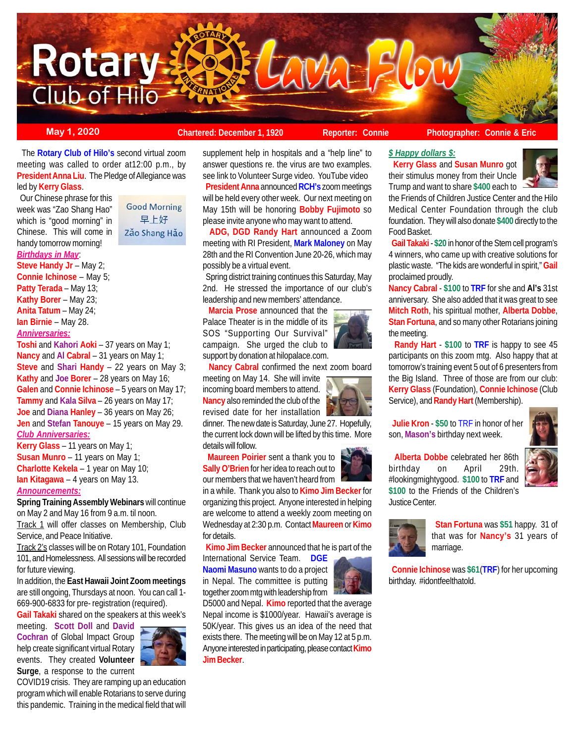

**May 1, 2020 Chartered: December 1, 1920 Reporter: Connie Photographer: Connie & Eric Reporter: Connie & Eric** 

the Friends of Children Justice Center and the Hilo Medical Center Foundation through the club foundation. They will also donate **\$400** directly to the

 **Gail Takaki** - **\$20** in honor of the Stem cell program's 4 winners, who came up with creative solutions for plastic waste. "The kids are wonderful in spirit," **Gail**

**Nancy Cabral** - **\$100** to **TRF** for she and **Al's** 31st anniversary. She also added that it was great to see **Mitch Roth**, his spiritual mother, **Alberta Dobbe**, **Stan Fortuna**, and so many other Rotarians joining

 **Randy Hart** - **\$100** to **TRF** is happy to see 45 participants on this zoom mtg. Also happy that at

 **Kerry Glass** and **Susan Munro** got their stimulus money from their Uncle Trump and want to share **\$400** each to

 The **Rotary Club of Hilo's** second virtual zoom meeting was called to order at12:00 p.m., by **President Anna Liu**. The Pledge of Allegiance was led by **Kerry Glass**.

 Our Chinese phrase for this week was "Zao Shang Hao" which is "good morning" in Chinese. This will come in handy tomorrow morning! *Birthdays in May*:

**Good Morning** 早上好 Zǎo Shang Hǎo

**Steve Handy Jr** – May 2;

**Connie Ichinose** – May 5; **Patty Terada** – May 13; **Kathy Borer** – May 23; **Anita Tatum** – May 24;

**Ian Birnie** – May 28.

*Anniversaries:*

**Toshi** and **Kahori Aoki** – 37 years on May 1; **Nancy** and **Al Cabral** – 31 years on May 1; **Steve** and **Shari Handy** – 22 years on May 3; **Kathy** and **Joe Borer** – 28 years on May 16; **Galen** and **Connie Ichinose** – 5 years on May 17; **Tammy** and **Kala Silva** – 26 years on May 17; **Joe** and **Diana Hanley** – 36 years on May 26; **Jen** and **Stefan Tanouye** – 15 years on May 29. *Club Anniversaries:*

**Kerry Glass** – 11 years on May 1; **Susan Munro** – 11 years on May 1; **Charlotte Kekela** – 1 year on May 10;

**Ian Kitagawa** – 4 years on May 13.

# *Announcements:*

**Spring Training Assembly Webinars** will continue on May 2 and May 16 from 9 a.m. til noon.

Track 1 will offer classes on Membership, Club Service, and Peace Initiative.

Track 2's classes will be on Rotary 101, Foundation 101, and Homelessness. All sessions will be recorded for future viewing.

In addition, the **East Hawaii Joint Zoom meetings** are still ongoing, Thursdays at noon. You can call 1- 669-900-6833 for pre- registration (required).

**Gail Takaki** shared on the speakers at this week's

meeting. **Scott Doll** and **David Cochran** of Global Impact Group help create significant virtual Rotary events. They created **Volunteer Surge**, a response to the current



COVID19 crisis. They are ramping up an education program which will enable Rotarians to serve during this pandemic. Training in the medical field that will

supplement help in hospitals and a "help line" to answer questions re. the virus are two examples. see link to Volunteer Surge video. YouTube video **President Anna** announced **RCH's** zoom meetings will be held every other week. Our next meeting on May 15th will be honoring **Bobby Fujimoto** so please invite anyone who may want to attend.

 **ADG, DGD Randy Hart** announced a Zoom meeting with RI President, **Mark Maloney** on May 28th and the RI Convention June 20-26, which may possibly be a virtual event.

 Spring district training continues this Saturday, May 2nd. He stressed the importance of our club's leadership and new members' attendance.

 **Marcia Prose** announced that the Palace Theater is in the middle of its SOS "Supporting Our Survival" campaign. She urged the club to support by donation at hilopalace.com.

 **Nancy Cabral** confirmed the next zoom board meeting on May 14. She will invite incoming board members to attend. **Nancy** also reminded the club of the revised date for her installation

dinner. The new date is Saturday, June 27. Hopefully, the current lock down will be lifted by this time. More details will follow.

 **Maureen Poirier** sent a thank you to **Sally O'Brien** for her idea to reach out to our members that we haven't heard from



 **Kimo Jim Becker** announced that he is part of the International Service Team. **DGE**

**Naomi Masuno** wants to do a project in Nepal. The committee is putting together zoom mtg with leadership from

D5000 and Nepal. **Kimo** reported that the average Nepal income is \$1000/year. Hawaii's average is 50K/year. This gives us an idea of the need that exists there. The meeting will be on May 12 at 5 p.m. Anyone interested in participating, please contact **Kimo Jim Becker**.







 **Alberta Dobbe** celebrated her 86th birthday on April 29th. #lookingmightygood. **\$100** to **TRF** and **\$100** to the Friends of the Children's Justice Center.





 **Stan Fortuna** was **\$51** happy. 31 of that was for **Nancy's** 31 years of marriage.

 **Connie Ichinose** was **\$61**(**TRF**) for her upcoming birthday. #idontfeelthatold.



*\$ Happy dollars \$:*

Food Basket.

the meeting.

proclaimed proudly.

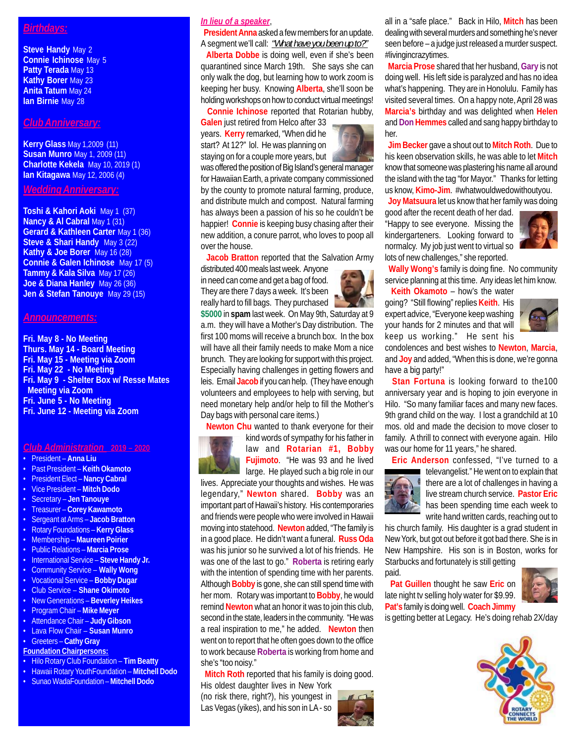# *Birthdays:*

**Steve Handy** May 2 **Connie Ichinose** May 5 **Patty Terada** May 13 **Kathy Borer** May 23 **Anita Tatum** May 24 **Ian Birnie** May 28

# *Club Anniversary:*

**Kerry Glass** May 1,2009 (11) **Susan Munro** May 1, 2009 (11) **Charlotte Kekela** May 10, 2019 (1) **Ian Kitagawa** May 12, 2006 (4)

*Wedding Anniversary:*

**Toshi & Kahori Aoki** May 1 (37) **Nancy & Al Cabral May 1 (31) Gerard & Kathleen Carter May 1 (36) Steve & Shari Handy** May 3 (22) **Kathy & Joe Borer** May 16 (28) **Connie & Galen Ichinose** May 17 (5) **Tammy & Kala Silva** May 17 (26) **Joe & Diana Hanley** May 26 (36) **Jen & Stefan Tanouye** May 29 (15)

### *Announcements:*

**Fri. May 8 - No Meeting Thurs. May 14 - Board Meeting Fri. May 15 - Meeting via Zoom Fri. May 22 - No Meeting Fri. May 9 - Shelter Box w/ Resse Mates Meeting via Zoom Fri. June 5 - No Meeting Fri. June 12 - Meeting via Zoom**

## *Club Administration* **2019 – 2020**

- President **Anna Liu**
- Past President **Keith Okamoto**
- President Elect **Nancy Cabral**
- Vice President **Mitch Dodo**
- Secretary **Jen Tanouye**
- Treasurer **Corey Kawamoto**
- Sergeant at Arms – **Jacob Bratton**
- Rotary Foundations **Kerry Glass**
- Membership **Maureen Poirier**
- Public Relations **Marcia Prose**
- International Service **Steve Handy Jr.**
- Community Service **Wally Wong**
- Vocational Service **Bobby Dugar**
- Club Service **Shane Okimoto**
- New Generations **Beverley Heikes**
- Program Chair – **Mike Meyer**
- Attendance Chair **Judy Gibson**
- Lava Flow Chair **Susan Munro**
- Greeters **Cathy Gray**
- **Foundation Chairpersons:**
- Hilo Rotary Club Foundation **Tim Beatty**
- Hawaii Rotary YouthFoundation **Mitchell Dodo**
- Sunao WadaFoundation **Mitchell Dodo**

# *In lieu of a speaker*,

over the house.

 **President Anna** asked a few members for an update. A segment we'll call: *"What have you been up to?"*

 **Alberta Dobbe** is doing well, even if she's been quarantined since March 19th. She says she can only walk the dog, but learning how to work zoom is keeping her busy. Knowing **Alberta**, she'll soon be holding workshops on how to conduct virtual meetings!

was offered the position of Big Island's general manager for Hawaiian Earth, a private company commissioned by the county to promote natural farming, produce, and distribute mulch and compost. Natural farming has always been a passion of his so he couldn't be happier! **Connie** is keeping busy chasing after their new addition, a conure parrot, who loves to poop all

**Jacob Bratton** reported that the Salvation Army

**\$5000** in **spam** last week. On May 9th, Saturday at 9 a.m. they will have a Mother's Day distribution. The first 100 moms will receive a brunch box. In the box will have all their family needs to make Mom a nice brunch. They are looking for support with this project. Especially having challenges in getting flowers and leis. Email **Jacob** if you can help. (They have enough volunteers and employees to help with serving, but

**Connie Ichinose** reported that Rotarian hubby,

**Galen** just retired from Helco after 33 years. **Kerry** remarked, "When did he start? At 12?" lol. He was planning on staying on for a couple more years, but

distributed 400 meals last week. Anyone in need can come and get a bag of food. They are there 7 days a week. It's been really hard to fill bags. They purchased



all in a "safe place." Back in Hilo, **Mitch** has been dealing with several murders and something he's never seen before – a judge just released a murder suspect. #livingincrazytimes.

 **Marcia Prose** shared that her husband, **Gary** is not doing well. His left side is paralyzed and has no idea what's happening. They are in Honolulu. Family has visited several times. On a happy note, April 28 was **Marcia's** birthday and was delighted when **Helen** and **Don Hemmes** called and sang happy birthday to her.

 **Jim Becker** gave a shout out to **Mitch Roth**. Due to his keen observation skills, he was able to let **Mitch** know that someone was plastering his name all around the island with the tag "for Mayor." Thanks for letting us know, **Kimo-Jim**. #whatwouldwedowithoutyou.

 **Joy Matsuura** let us know that her family was doing

good after the recent death of her dad. "Happy to see everyone. Missing the kindergarteners. Looking forward to normalcy. My job just went to virtual so lots of new challenges," she reported.



 **Wally Wong's** family is doing fine. No community service planning at this time. Any ideas let him know.

 **Keith Okamoto** – how's the water going? "Still flowing" replies **Keith**. His expert advice, "Everyone keep washing your hands for 2 minutes and that will keep us working." He sent his



condolences and best wishes to **Newton**, **Marcia**, and **Joy** and added, "When this is done, we're gonna have a big party!"

 **Stan Fortuna** is looking forward to the100 anniversary year and is hoping to join everyone in Hilo. "So many familiar faces and many new faces. 9th grand child on the way. I lost a grandchild at 10 mos. old and made the decision to move closer to family. A thrill to connect with everyone again. Hilo was our home for 11 years," he shared.

**Eric Anderson** confessed, "I've turned to a



televangelist." He went on to explain that there are a lot of challenges in having a live stream church service. **Pastor Eric** has been spending time each week to

write hand written cards, reaching out to his church family. His daughter is a grad student in New York, but got out before it got bad there. She is in New Hampshire. His son is in Boston, works for Starbucks and fortunately is still getting paid.

 **Pat Guillen** thought he saw **Eric** on late night tv selling holy water for \$9.99. **Pat's** family is doing well. **Coach Jimmy**



is getting better at Legacy. He's doing rehab 2X/day





 **Newton Chu** wanted to thank everyone for their kind words of sympathy for his father in law and **Rotarian #1, Bobby Fujimoto**. "He was 93 and he lived

large. He played such a big role in our lives. Appreciate your thoughts and wishes. He was legendary," **Newton** shared. **Bobby** was an important part of Hawaii's history. His contemporaries and friends were people who were involved in Hawaii moving into statehood. **Newton** added, "The family is in a good place. He didn't want a funeral. **Russ Oda** was his junior so he survived a lot of his friends. He was one of the last to go." **Roberta** is retiring early with the intention of spending time with her parents. Although **Bobby** is gone, she can still spend time with her mom. Rotary was important to **Bobby**, he would remind **Newton** what an honor it was to join this club, second in the state, leaders in the community. "He was a real inspiration to me," he added. **Newton** then went on to report that he often goes down to the office to work because **Roberta** is working from home and she's "too noisy."

 **Mitch Roth** reported that his family is doing good.

His oldest daughter lives in New York (no risk there, right?), his youngest in Las Vegas (yikes), and his son in LA - so



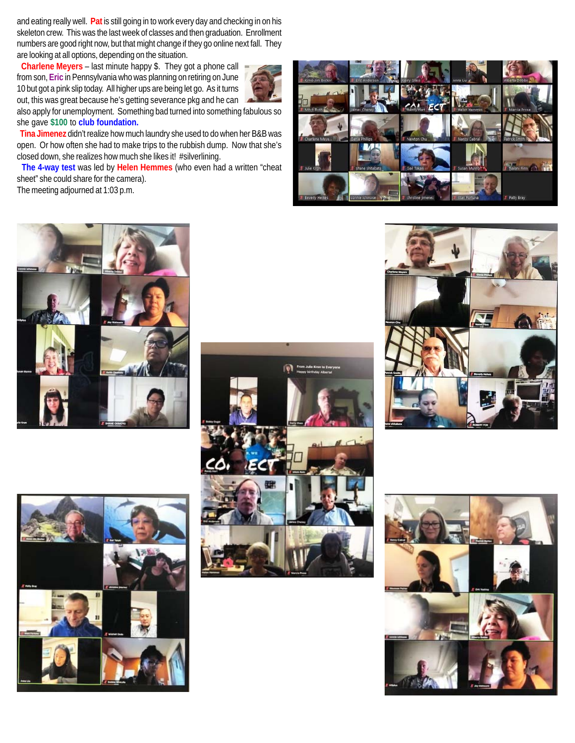and eating really well. **Pat** is still going in to work every day and checking in on his skeleton crew. This was the last week of classes and then graduation. Enrollment numbers are good right now, but that might change if they go online next fall. They are looking at all options, depending on the situation.

 **Charlene Meyers** – last minute happy \$. They got a phone call from son, **Eric** in Pennsylvania who was planning on retiring on June 10 but got a pink slip today. All higher ups are being let go. As it turns out, this was great because he's getting severance pkg and he can



also apply for unemployment. Something bad turned into something fabulous so she gave **\$100** to **club foundation.**

 **Tina Jimenez** didn't realize how much laundry she used to do when her B&B was open. Or how often she had to make trips to the rubbish dump. Now that she's closed down, she realizes how much she likes it! #silverlining.

 **The 4-way test** was led by **Helen Hemmes** (who even had a written "cheat sheet" she could share for the camera).

The meeting adjourned at 1:03 p.m.











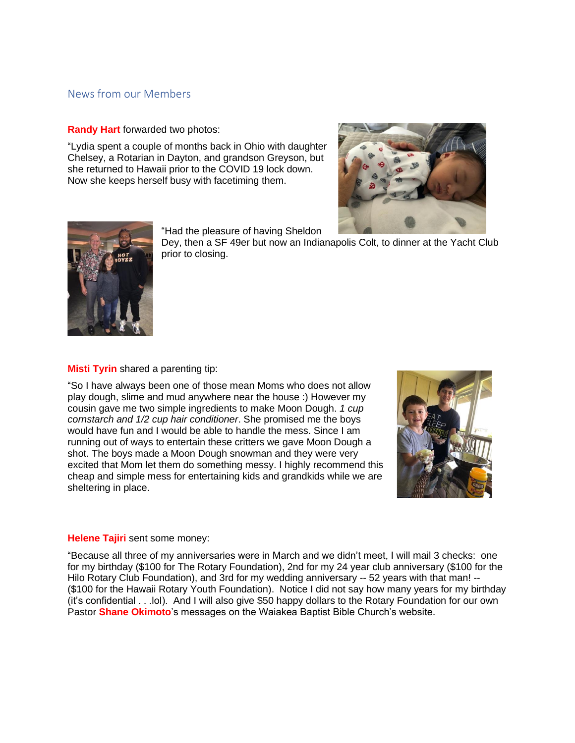# News from our Members

**Randy Hart** forwarded two photos:

"Lydia spent a couple of months back in Ohio with daughter Chelsey, a Rotarian in Dayton, and grandson Greyson, but she returned to Hawaii prior to the COVID 19 lock down. Now she keeps herself busy with facetiming them.





"Had the pleasure of having Sheldon

Dey, then a SF 49er but now an Indianapolis Colt, to dinner at the Yacht Club prior to closing.

**Misti Tyrin** shared a parenting tip:

"So I have always been one of those mean Moms who does not allow play dough, slime and mud anywhere near the house :) However my cousin gave me two simple ingredients to make Moon Dough. *1 cup cornstarch and 1/2 cup hair conditioner*. She promised me the boys would have fun and I would be able to handle the mess. Since I am running out of ways to entertain these critters we gave Moon Dough a shot. The boys made a Moon Dough snowman and they were very excited that Mom let them do something messy. I highly recommend this cheap and simple mess for entertaining kids and grandkids while we are sheltering in place.



### **Helene Tajiri** sent some money:

"Because all three of my anniversaries were in March and we didn't meet, I will mail 3 checks: one for my birthday (\$100 for The Rotary Foundation), 2nd for my 24 year club anniversary (\$100 for the Hilo Rotary Club Foundation), and 3rd for my wedding anniversary -- 52 years with that man! --(\$100 for the Hawaii Rotary Youth Foundation). Notice I did not say how many years for my birthday (it's confidential . . .lol). And I will also give \$50 happy dollars to the Rotary Foundation for our own Pastor **Shane Okimoto**'s messages on the Waiakea Baptist Bible Church's website.